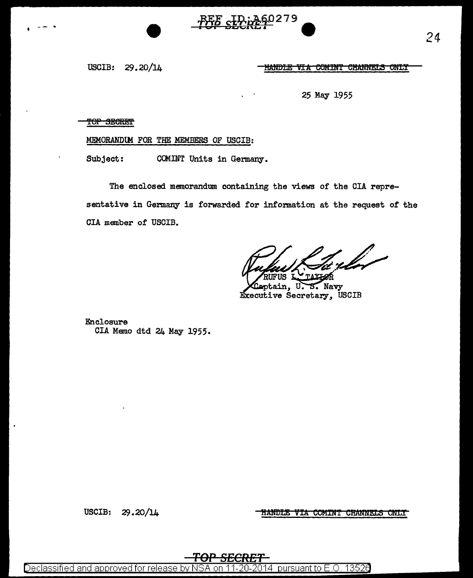

USCIB: 29.20/14

HANDLE VIA COMINT CHANNELS ONLY

25 May 1955

TOP SECRET

MEMORANDlM FOR THE MEMBERS OF USCIB:

Subject: COMINT Units in Germany.

The enclosed memorandum containing the views of the CIA representative in Germany is forwarded for information at the request of the CIA member of USCIB.

rla

Navy tain. Executive Secretary, USCIB

Enclosure CIA Memo dtd 24 May 1955.

<u>HANDLE VIA COMINT CHANNELS ONLY</u>

USCIB:  $29.20/14$ 

*TOP SECRET* 

Declassified and approved for release by NSA on 11-20-2014 pursuant to E.O. 13526